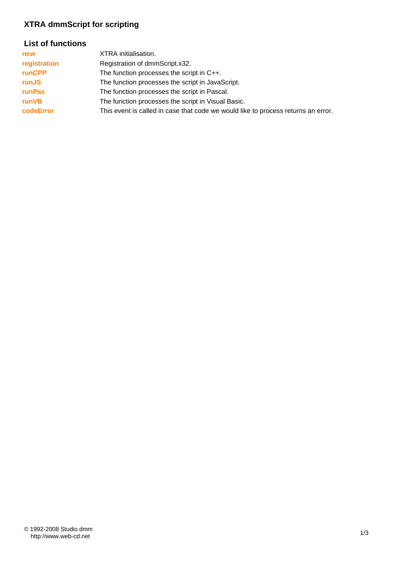# **XTRA dmmScript for scripting**

## **List of functions**

| new           | XTRA initialisation.                                                              |
|---------------|-----------------------------------------------------------------------------------|
| registration  | Registration of dmmScript.x32.                                                    |
| <b>runCPP</b> | The function processes the script in C++.                                         |
| runJS         | The function processes the script in JavaScript.                                  |
| runPas        | The function processes the script in Pascal.                                      |
| runVB         | The function processes the script in Visual Basic.                                |
| codeError     | This event is called in case that code we would like to process returns an error. |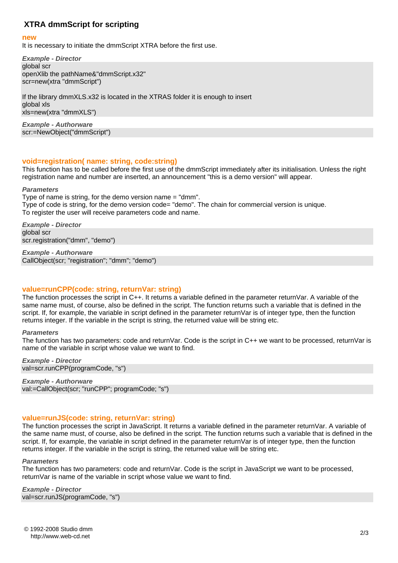## **XTRA dmmScript for scripting**

#### **new**

It is necessary to initiate the dmmScript XTRA before the first use.

*Example - Director* global scr openXlib the pathName&"dmmScript.x32" scr=new(xtra "dmmScript")

If the library dmmXLS.x32 is located in the XTRAS folder it is enough to insert global xls xls=new(xtra "dmmXLS")

*Example - Authorware* scr:=NewObject("dmmScript")

## **void=registration( name: string, code:string)**

This function has to be called before the first use of the dmmScript immediately after its initialisation. Unless the right registration name and number are inserted, an announcement "this is a demo version" will appear.

#### *Parameters*

Type of name is string, for the demo version name = "dmm". Type of code is string, for the demo version code= "demo". The chain for commercial version is unique. To register the user will receive parameters code and name.

*Example - Director* global scr scr.registration("dmm", "demo")

*Example - Authorware* CallObject(scr; "registration"; "dmm"; "demo")

## **value=runCPP(code: string, returnVar: string)**

The function processes the script in C++. It returns a variable defined in the parameter returnVar. A variable of the same name must, of course, also be defined in the script. The function returns such a variable that is defined in the script. If, for example, the variable in script defined in the parameter returnVar is of integer type, then the function returns integer. If the variable in the script is string, the returned value will be string etc.

#### *Parameters*

The function has two parameters: code and returnVar. Code is the script in C++ we want to be processed, returnVar is name of the variable in script whose value we want to find.

*Example - Director* val=scr.runCPP(programCode, "s")

*Example - Authorware* val:=CallObject(scr; "runCPP"; programCode; "s")

### **value=runJS(code: string, returnVar: string)**

The function processes the script in JavaScript. It returns a variable defined in the parameter returnVar. A variable of the same name must, of course, also be defined in the script. The function returns such a variable that is defined in the script. If, for example, the variable in script defined in the parameter returnVar is of integer type, then the function returns integer. If the variable in the script is string, the returned value will be string etc.

#### *Parameters*

The function has two parameters: code and returnVar. Code is the script in JavaScript we want to be processed, returnVar is name of the variable in script whose value we want to find.

*Example - Director* val=scr.runJS(programCode, "s")